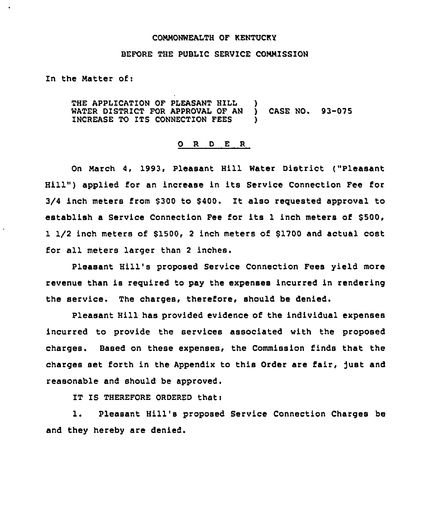### CONMONWEALTH OF KENTUCKY

#### BEFORE THE PUBLIC SERVICE CONNISSION

## Zn the Natter of:

THE APPLICATION OF PLEASANT HILL )<br>WATER DISTRICT FOR APPROVAL OF AN ) WATER DISTRICT FOR APPROVAL OF AN ) CASE NO. 93-075 INCREASE TO ITS CONNECTION FEES

#### 0 R <sup>D</sup> E R

On March 4, 1993, Pleasant Hill Water District ("Pleasant Hill" ) applied for an increase in its Service Connection Fee for 3/4 inch meters from \$300 to \$400. It also requested approval to establish a Service Connection Fee for its 1 inch meters of \$500, 1 1/2 inch meters of \$1500, 2 inch meters of \$1700 and actual cost for all meters larger than <sup>2</sup> inches.

Pleasant Hill's proposed Service Connection Fees yield more revenue than is reguired to pay the expenses incurred in rendering the service. The charges, therefore, should be denied.

Pleasant Hill has provided evidence of the individual expenses incurred to provide the services associated with the proposed charges. Based on these expenses, the Commission finds that the charges set forth in the Appendix to this Order are fair, )ust and reasonable and should be approved.

IT IS THEREFORE ORDERED that:

1. Pleasant Hill's proposed Service Connection Charges be and they hereby are denied.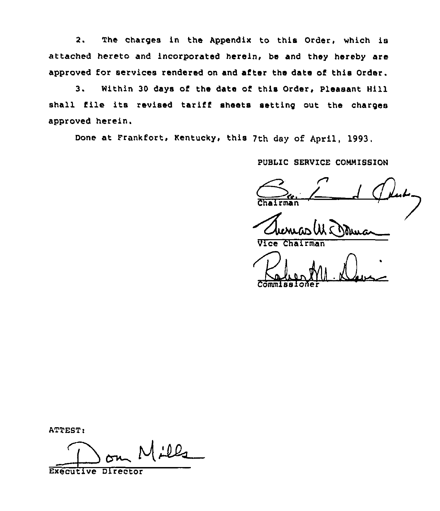2. The charges in the appendix to this Order, which is attached hereto and incorporated herein, be and they hereby are approved for services rendered on and after the date of this Order.

3. Within 30 days of the date of this Order, Pleasant Hill shall file its revised tariff sheets setting out the charges approved herein.

Done at Frankfort, Kentucky, this 7th day of April, 1993.

PUBLIC SERVICE COMMISSION

 $\frac{C_{\text{ref}}}{\text{Chairman}}$ 

Vice Chairman

VICE Chairman

ATTEST:

 $1.122$ Executive Director